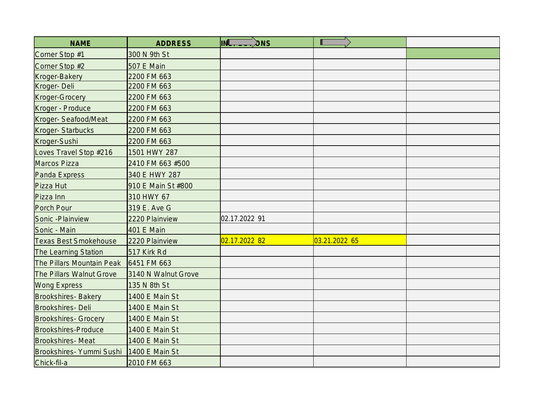| <b>NAME</b>                  | <b>ADDRESS</b>        | INL.<br>$\lambda$ <sub>NS</sub> |               |  |
|------------------------------|-----------------------|---------------------------------|---------------|--|
| Corner Stop #1               | 300 N 9th St          |                                 |               |  |
| Corner Stop #2               | 507 E Main            |                                 |               |  |
| Kroger-Bakery                | 2200 FM 663           |                                 |               |  |
| Kroger-Deli                  | 2200 FM 663           |                                 |               |  |
| <b>Kroger-Grocery</b>        | 2200 FM 663           |                                 |               |  |
| Kroger - Produce             | 2200 FM 663           |                                 |               |  |
| Kroger-Seafood/Meat          | 2200 FM 663           |                                 |               |  |
| Kroger-Starbucks             | 2200 FM 663           |                                 |               |  |
| Kroger-Sushi                 | 2200 FM 663           |                                 |               |  |
| Loves Travel Stop #216       | 1501 HWY 287          |                                 |               |  |
| Marcos Pizza                 | 2410 FM 663 #500      |                                 |               |  |
| Panda Express                | 340 E HWY 287         |                                 |               |  |
| Pizza Hut                    | 910 E Main St #800    |                                 |               |  |
| Pizza Inn                    | 310 HWY 67            |                                 |               |  |
| Porch Pour                   | 319 E. Ave G          |                                 |               |  |
| Sonic - Plainview            | 2220 Plainview        | 02.17.2022 91                   |               |  |
| Sonic - Main                 | 401 E Main            |                                 |               |  |
| <b>Texas Best Smokehouse</b> | 2220 Plainview        | 02.17.2022 82                   | 03.21.2022 65 |  |
| <b>The Learning Station</b>  | 517 Kirk Rd           |                                 |               |  |
| The Pillars Mountain Peak    | 6451 FM 663           |                                 |               |  |
| The Pillars Walnut Grove     | 3140 N Walnut Grove   |                                 |               |  |
| <b>Wong Express</b>          | 135 N 8th St          |                                 |               |  |
| <b>Brookshires-Bakery</b>    | 1400 E Main St        |                                 |               |  |
| Brookshires-Deli             | 1400 E Main St        |                                 |               |  |
| <b>Brookshires- Grocery</b>  | 1400 E Main St        |                                 |               |  |
| Brookshires-Produce          | 1400 E Main St        |                                 |               |  |
| Brookshires-Meat             | 1400 E Main St        |                                 |               |  |
| Brookshires- Yummi Sushi     | <b>1400 E Main St</b> |                                 |               |  |
| Chick-fil-a                  | 2010 FM 663           |                                 |               |  |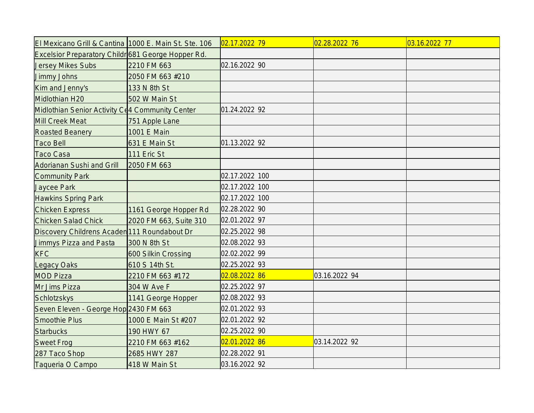| El Mexicano Grill & Cantina 1000 E. Main St. Ste. 106 |                        | $02.17.2022$ 79 | 02.28.2022 76 | 03.16.2022 77 |
|-------------------------------------------------------|------------------------|-----------------|---------------|---------------|
| Excelsior Preparatory Childr 681 George Hopper Rd.    |                        |                 |               |               |
| <b>Jersey Mikes Subs</b>                              | 2210 FM 663            | 02.16.2022 90   |               |               |
| Jimmy Johns                                           | 2050 FM 663 #210       |                 |               |               |
| Kim and Jenny's                                       | 133 N 8th St           |                 |               |               |
| Midlothian H20                                        | 502 W Main St          |                 |               |               |
| Midlothian Senior Activity C(4 Community Center       |                        | 01.24.2022 92   |               |               |
| Mill Creek Meat                                       | 751 Apple Lane         |                 |               |               |
| <b>Roasted Beanery</b>                                | 1001 E Main            |                 |               |               |
| <b>Taco Bell</b>                                      | 631 E Main St          | 01.13.2022 92   |               |               |
| <b>Taco Casa</b>                                      | 111 Eric St            |                 |               |               |
| Adorianan Sushi and Grill                             | 2050 FM 663            |                 |               |               |
| Community Park                                        |                        | 02.17.2022 100  |               |               |
| Jaycee Park                                           |                        | 02.17.2022 100  |               |               |
| Hawkins Spring Park                                   |                        | 02.17.2022 100  |               |               |
| <b>Chicken Express</b>                                | 1161 George Hopper Rd  | 02.28.2022 90   |               |               |
| <b>Chicken Salad Chick</b>                            | 2020 FM 663, Suite 310 | 02.01.2022 97   |               |               |
| Discovery Childrens Acaden 111 Roundabout Dr          |                        | 02.25.2022 98   |               |               |
| Jimmys Pizza and Pasta                                | 300 N 8th St           | 02.08.2022 93   |               |               |
| <b>KFC</b>                                            | 600 Silkin Crossing    | 02.02.2022 99   |               |               |
| Legacy Oaks                                           | 610 S 14th St.         | 02.25.2022 93   |               |               |
| <b>MOD Pizza</b>                                      | 2210 FM 663 #172       | 02.08.2022 86   | 03.16.2022 94 |               |
| Mr Jims Pizza                                         | 304 W Ave F            | 02.25.2022 97   |               |               |
| Schlotzskys                                           | 1141 George Hopper     | 02.08.2022 93   |               |               |
| Seven Eleven - George Hop 2430 FM 663                 |                        | 02.01.2022 93   |               |               |
| Smoothie Plus                                         | 1000 E Main St #207    | 02.01.2022 92   |               |               |
| <b>Starbucks</b>                                      | 190 HWY 67             | 02.25.2022 90   |               |               |
| <b>Sweet Frog</b>                                     | 2210 FM 663 #162       | 02.01.2022 86   | 03.14.2022 92 |               |
| 287 Taco Shop                                         | 2685 HWY 287           | 02.28.2022 91   |               |               |
| Taqueria O Campo                                      | 418 W Main St          | 03.16.2022 92   |               |               |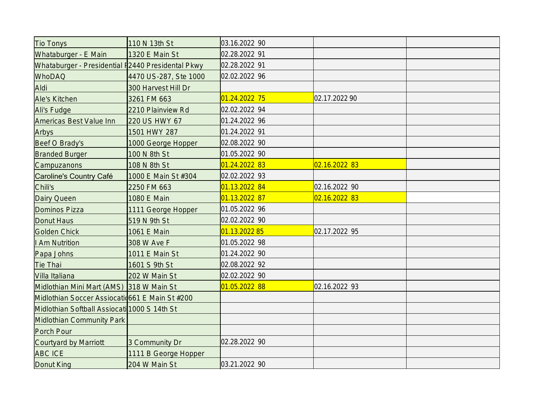| Tio Tonys                                         | 110 N 13th St         | 03.16.2022 90 |               |  |
|---------------------------------------------------|-----------------------|---------------|---------------|--|
| Whataburger - E Main                              | 1320 E Main St        | 02.28.2022 91 |               |  |
| Whataburger - Presidential I2440 Presidental Pkwy |                       | 02.28.2022 91 |               |  |
| <b>WhoDAQ</b>                                     | 4470 US-287, Ste 1000 | 02.02.2022 96 |               |  |
| Aldi                                              | 300 Harvest Hill Dr   |               |               |  |
| Ale's Kitchen                                     | 3261 FM 663           | 01.24.2022 75 | 02.17.2022 90 |  |
| Ali's Fudge                                       | 2210 Plainview Rd     | 02.02.2022 94 |               |  |
| Americas Best Value Inn                           | 220 US HWY 67         | 01.24.2022 96 |               |  |
| Arbys                                             | 1501 HWY 287          | 01.24.2022 91 |               |  |
| Beef O Brady's                                    | 1000 George Hopper    | 02.08.2022 90 |               |  |
| <b>Branded Burger</b>                             | 100 N 8th St          | 01.05.2022 90 |               |  |
| <b>Campuzanons</b>                                | 108 N 8th St          | 01.24.2022 83 | 02.16.2022 83 |  |
| Caroline's Country Café                           | 1000 E Main St #304   | 02.02.2022 93 |               |  |
| Chili's                                           | 2250 FM 663           | 01.13.2022 84 | 02.16.2022 90 |  |
| Dairy Queen                                       | 1080 E Main           | 01.13.2022 87 | 02.16.2022 83 |  |
| Dominos Pizza                                     | 1111 George Hopper    | 01.05.2022 96 |               |  |
| Donut Haus                                        | 519 N 9th St          | 02.02.2022 90 |               |  |
| Golden Chick                                      | 1061 E Main           | 01.13.2022 85 | 02.17.2022 95 |  |
| I Am Nutrition                                    | 308 W Ave F           | 01.05.2022 98 |               |  |
| Papa Johns                                        | 1011 E Main St        | 01.24.2022 90 |               |  |
| Tie Thai                                          | 1601 S 9th St         | 02.08.2022 92 |               |  |
| Villa Italiana                                    | 202 W Main St         | 02.02.2022 90 |               |  |
| Midlothian Mini Mart (AMS) 318 W Main St          |                       | 01.05.2022 88 | 02.16.2022 93 |  |
| Midlothian Soccer Assiocatio 661 E Main St #200   |                       |               |               |  |
| Midlothian Softball Assiocati 1000 S 14th St      |                       |               |               |  |
| Midlothian Community Park                         |                       |               |               |  |
| Porch Pour                                        |                       |               |               |  |
| Courtyard by Marriott                             | 3 Community Dr        | 02.28.2022 90 |               |  |
| <b>ABC ICE</b>                                    | 1111 B George Hopper  |               |               |  |
| Donut King                                        | 204 W Main St         | 03.21.2022 90 |               |  |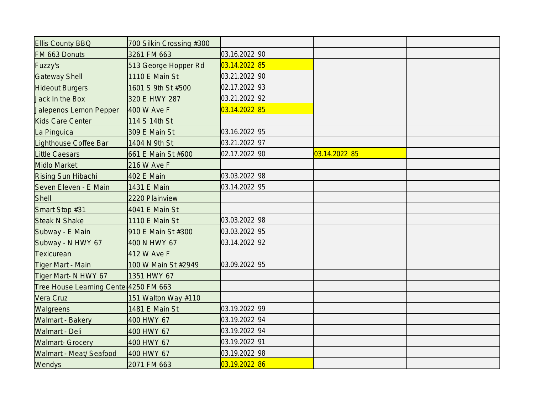| <b>Ellis County BBQ</b>                | 700 Silkin Crossing #300 |               |               |  |
|----------------------------------------|--------------------------|---------------|---------------|--|
| FM 663 Donuts                          | 3261 FM 663              | 03.16.2022 90 |               |  |
| Fuzzy's                                | 513 George Hopper Rd     | 03.14.2022 85 |               |  |
| <b>Gateway Shell</b>                   | 1110 E Main St           | 03.21.2022 90 |               |  |
| <b>Hideout Burgers</b>                 | 1601 S 9th St #500       | 02.17.2022 93 |               |  |
| Jack In the Box                        | 320 E HWY 287            | 03.21.2022 92 |               |  |
| Jalepenos Lemon Pepper                 | 400 W Ave F              | 03.14.2022 85 |               |  |
| Kids Care Center                       | 114 S 14th St            |               |               |  |
| La Pinguica                            | 309 E Main St            | 03.16.2022 95 |               |  |
| Lighthouse Coffee Bar                  | 1404 N 9th St            | 03.21.2022 97 |               |  |
| Little Caesars                         | 661 E Main St #600       | 02.17.2022 90 | 03.14.2022 85 |  |
| Midlo Market                           | 216 W Ave F              |               |               |  |
| Rising Sun Hibachi                     | 402 E Main               | 03.03.2022 98 |               |  |
| Seven Eleven - E Main                  | 1431 E Main              | 03.14.2022 95 |               |  |
| <b>Shell</b>                           | 2220 Plainview           |               |               |  |
| Smart Stop #31                         | 4041 E Main St           |               |               |  |
| Steak N Shake                          | 1110 E Main St           | 03.03.2022 98 |               |  |
| Subway - E Main                        | 910 E Main St #300       | 03.03.2022 95 |               |  |
| Subway - N HWY 67                      | 400 N HWY 67             | 03.14.2022 92 |               |  |
| Texicurean                             | 412 W Ave F              |               |               |  |
| Tiger Mart - Main                      | 100 W Main St #2949      | 03.09.2022 95 |               |  |
| Tiger Mart- N HWY 67                   | 1351 HWY 67              |               |               |  |
| Tree House Learning Center 4250 FM 663 |                          |               |               |  |
| Vera Cruz                              | 151 Walton Way #110      |               |               |  |
| Walgreens                              | 1481 E Main St           | 03.19.2022 99 |               |  |
| Walmart - Bakery                       | 400 HWY 67               | 03.19.2022 94 |               |  |
| Walmart - Deli                         | 400 HWY 67               | 03.19.2022 94 |               |  |
| <b>Walmart- Grocery</b>                | 400 HWY 67               | 03.19.2022 91 |               |  |
| Walmart - Meat/ Seafood                | 400 HWY 67               | 03.19.2022 98 |               |  |
| Wendys                                 | 2071 FM 663              | 03.19.2022 86 |               |  |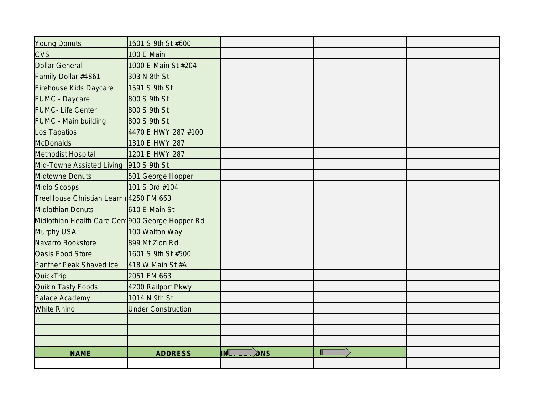| Young Donuts                                     | 1601 S 9th St #600        |            |  |
|--------------------------------------------------|---------------------------|------------|--|
| <b>CVS</b>                                       | <b>100 E Main</b>         |            |  |
| Dollar General                                   | 1000 E Main St #204       |            |  |
| Family Dollar #4861                              | 303 N 8th St              |            |  |
| Firehouse Kids Daycare                           | 1591 S 9th St             |            |  |
| <b>FUMC</b> - Daycare                            | 800 S 9th St              |            |  |
| <b>FUMC</b> - Life Center                        | 800 S 9th St              |            |  |
| <b>FUMC</b> - Main building                      | 800 S 9th St              |            |  |
| Los Tapatios                                     | 4470 E HWY 287 #100       |            |  |
| <b>McDonalds</b>                                 | 1310 E HWY 287            |            |  |
| Methodist Hospital                               | 1201 E HWY 287            |            |  |
| Mid-Towne Assisted Living   910 S 9th St         |                           |            |  |
| Midtowne Donuts                                  | 501 George Hopper         |            |  |
| Midlo Scoops                                     | 101 S 3rd #104            |            |  |
| TreeHouse Christian Learnir 4250 FM 663          |                           |            |  |
| Midlothian Donuts                                | 610 E Main St             |            |  |
| Midlothian Health Care Cent 900 George Hopper Rd |                           |            |  |
| Murphy USA                                       | 100 Walton Way            |            |  |
| Navarro Bookstore                                | 899 Mt Zion Rd            |            |  |
| <b>Oasis Food Store</b>                          | 1601 S 9th St #500        |            |  |
| Panther Peak Shaved Ice                          | 418 W Main St #A          |            |  |
| <b>QuickTrip</b>                                 | 2051 FM 663               |            |  |
| Quik'n Tasty Foods                               | 4200 Railport Pkwy        |            |  |
| Palace Academy                                   | 1014 N 9th St             |            |  |
| <b>White Rhino</b>                               | <b>Under Construction</b> |            |  |
|                                                  |                           |            |  |
|                                                  |                           |            |  |
|                                                  |                           |            |  |
| <b>NAME</b>                                      | <b>ADDRESS</b>            | INL<br>ONS |  |
|                                                  |                           |            |  |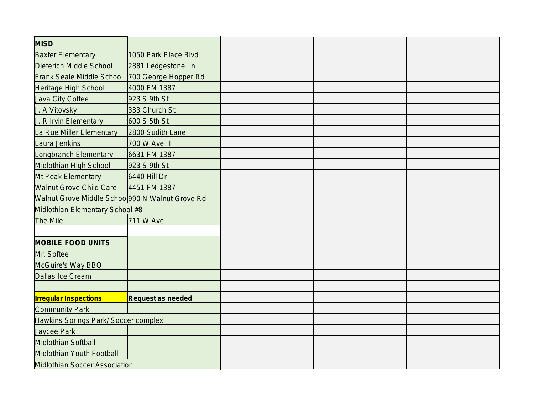| <b>MISD</b>                                     |                      |  |  |
|-------------------------------------------------|----------------------|--|--|
| <b>Baxter Elementary</b>                        | 1050 Park Place Blvd |  |  |
| Dieterich Middle School                         | 2881 Ledgestone Ln   |  |  |
| <b>Frank Seale Middle School</b>                | 700 George Hopper Rd |  |  |
| Heritage High School                            | 4000 FM 1387         |  |  |
| Java City Coffee                                | 923 S 9th St         |  |  |
| J. A Vitovsky                                   | 333 Church St        |  |  |
| J. R Irvin Elementary                           | 600 S 5th St         |  |  |
| La Rue Miller Elementary                        | 2800 Sudith Lane     |  |  |
| Laura Jenkins                                   | 700 W Ave H          |  |  |
| Longbranch Elementary                           | 6631 FM 1387         |  |  |
| Midlothian High School                          | 923 S 9th St         |  |  |
| Mt Peak Elementary                              | 6440 Hill Dr         |  |  |
| <b>Walnut Grove Child Care</b>                  | 4451 FM 1387         |  |  |
| Walnut Grove Middle Schoo 990 N Walnut Grove Rd |                      |  |  |
| Midlothian Elementary School #8                 |                      |  |  |
| The Mile                                        | 711 W Ave I          |  |  |
|                                                 |                      |  |  |
| <b>MOBILE FOOD UNITS</b>                        |                      |  |  |
| Mr. Softee                                      |                      |  |  |
| McGuire's Way BBQ                               |                      |  |  |
| Dallas Ice Cream                                |                      |  |  |
|                                                 |                      |  |  |
| <b>Irregular Inspections</b>                    | Request as needed    |  |  |
| Community Park                                  |                      |  |  |
| Hawkins Springs Park/ Soccer complex            |                      |  |  |
| Jaycee Park                                     |                      |  |  |
| Midlothian Softball                             |                      |  |  |
| Midlothian Youth Football                       |                      |  |  |
| Midlothian Soccer Association                   |                      |  |  |